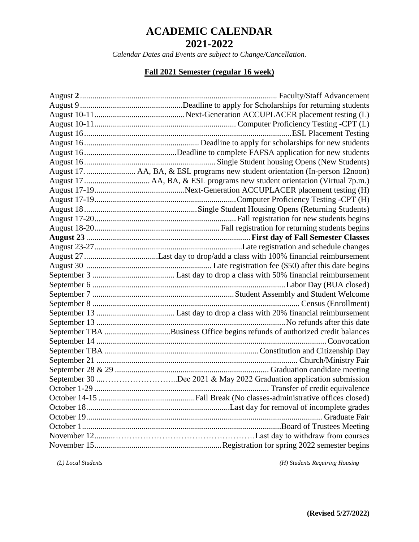*Calendar Dates and Events are subject to Change/Cancellation.*

#### **Fall 2021 Semester (regular 16 week)**

| August 17.  AA, BA, & ESL programs new student orientation (In-person 12noon) |  |  |
|-------------------------------------------------------------------------------|--|--|
|                                                                               |  |  |
|                                                                               |  |  |
|                                                                               |  |  |
|                                                                               |  |  |
|                                                                               |  |  |
|                                                                               |  |  |
|                                                                               |  |  |
|                                                                               |  |  |
|                                                                               |  |  |
|                                                                               |  |  |
|                                                                               |  |  |
|                                                                               |  |  |
|                                                                               |  |  |
|                                                                               |  |  |
|                                                                               |  |  |
|                                                                               |  |  |
| September TBA Business Office begins refunds of authorized credit balances    |  |  |
|                                                                               |  |  |
|                                                                               |  |  |
|                                                                               |  |  |
|                                                                               |  |  |
| September 30 Dec 2021 & May 2022 Graduation application submission            |  |  |
|                                                                               |  |  |
|                                                                               |  |  |
|                                                                               |  |  |
|                                                                               |  |  |
|                                                                               |  |  |
|                                                                               |  |  |
|                                                                               |  |  |

 *(L) Local Students (H) Students Requiring Housing*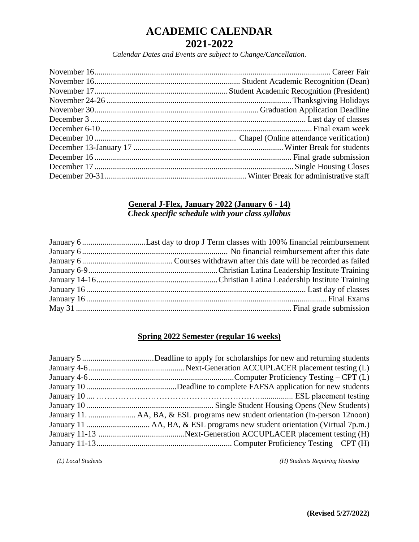*Calendar Dates and Events are subject to Change/Cancellation.*

# **General J-Flex, January 2022 (January 6 - 14)**

*Check specific schedule with your class syllabus*

#### **Spring 2022 Semester (regular 16 weeks)**

 *(L) Local Students (H) Students Requiring Housing*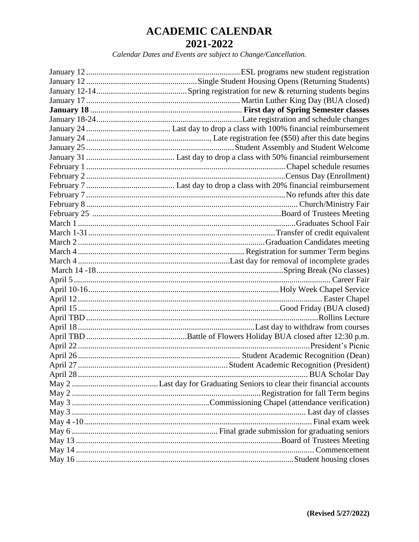*Calendar Dates and Events are subject to Change/Cancellation.*